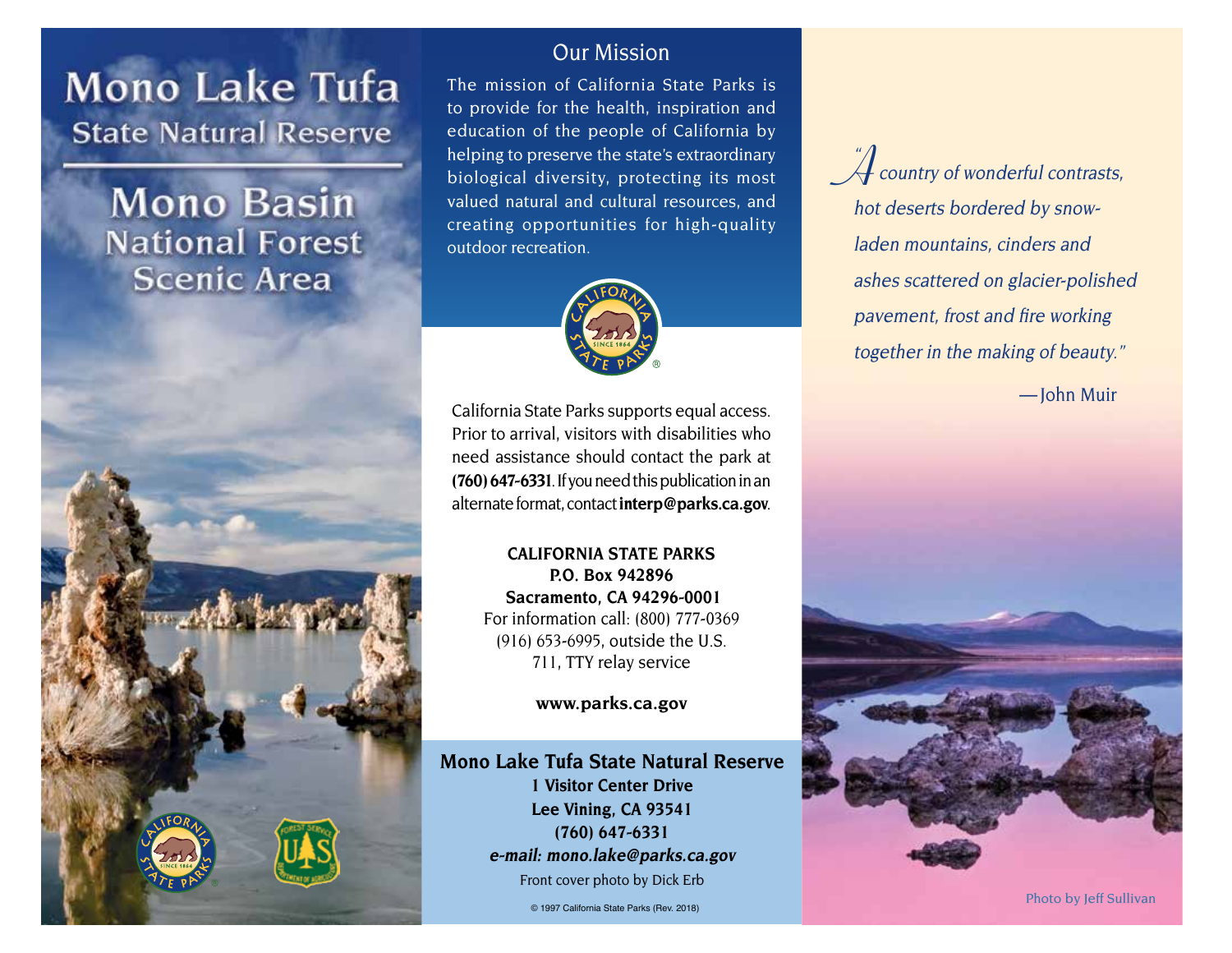# **Mono Lake Tufa State Natural Reserve**

**Mono Basin National Forest Scenic Area** 



#### Our Mission

 The mission of California State Parks is to provide for the health, inspiration and education of the people of California by helping to preserve the state's extraordinary biological diversity, protecting its most valued natural and cultural resources, and creating opportunities for high-quality outdoor recreation.



California State Parks supports equal access. Prior to arrival, visitors with disabilities who need assistance should contact the park at **(760) 647-6331**. If you need this publication in an alternate format, contact**interp@parks.ca.gov**.

> **CALIFORNIA STATE PARKS P.O. Box 942896 Sacramento, CA 94296-0001** For information call: (800) 777-0369 (916) 653-6995, outside the U.S. 711, TTY relay service

> > **www.parks.ca.gov**

**Mono Lake Tufa State Natural Reserve 1 Visitor Center Drive Lee Vining, CA 93541 (760) 647-6331 e-mail: mono.lake@parks.ca.gov** Front cover photo by Dick Erb

 $\overline{u}$  $\mathcal{\hat{A}}$  country of wonderful contrasts, hot deserts bordered by snowladen mountains, cinders and ashes scattered on glacier-polished pavement, frost and fire working together in the making of beauty."

— John Muir

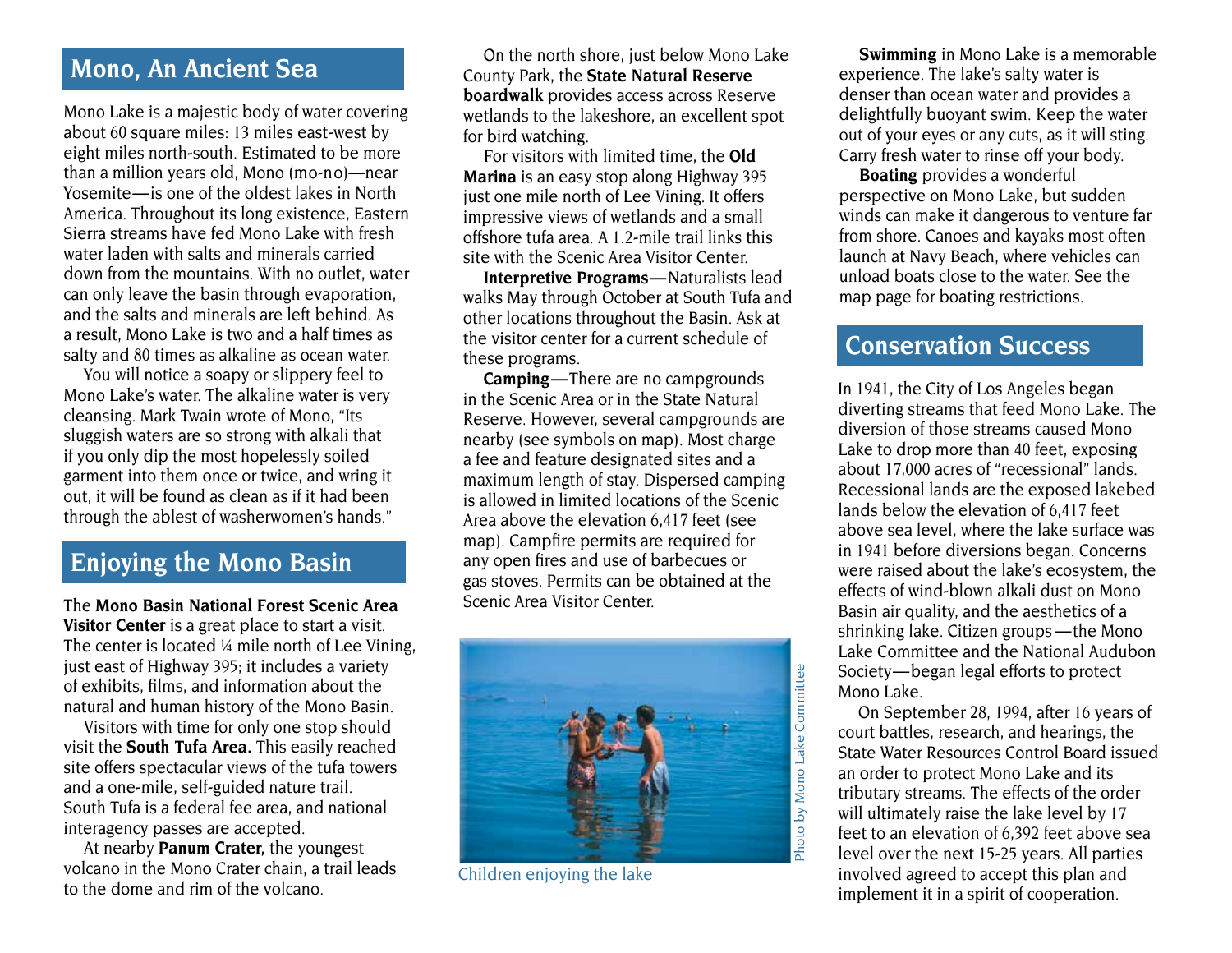# **Mono, An Ancient Sea**

Mono Lake is a majestic body of water covering about 60 square miles: 13 miles east-west by eight miles north-south. Estimated to be more than a million years old, Mono  $(m\overline{o} \cdot n\overline{o})$ —near Yosemite—is one of the oldest lakes in North America. Throughout its long existence, Eastern Sierra streams have fed Mono Lake with fresh water laden with salts and minerals carried down from the mountains. With no outlet, water can only leave the basin through evaporation, and the salts and minerals are left behind. As a result, Mono Lake is two and a half times as salty and 80 times as alkaline as ocean water.

 You will notice a soapy or slippery feel to Mono Lake's water. The alkaline water is very cleansing. Mark Twain wrote of Mono, "Its sluggish waters are so strong with alkali that if you only dip the most hopelessly soiled garment into them once or twice, and wring it out, it will be found as clean as if it had been through the ablest of washerwomen's hands."

## **Enjoying the Mono Basin**

The **Mono Basin National Forest Scenic Area Visitor Center** is a great place to start a visit. The center is located ¼ mile north of Lee Vining, just east of Highway 395; it includes a variety of exhibits, films, and information about the natural and human history of the Mono Basin.

Visitors with time for only one stop should visit the **South Tufa Area.** This easily reached site offers spectacular views of the tufa towers and a one-mile, self-guided nature trail. South Tufa is a federal fee area, and national interagency passes are accepted.

At nearby **Panum Crater,** the youngest volcano in the Mono Crater chain, a trail leads to the dome and rim of the volcano.

On the north shore, just below Mono Lake County Park, the **State Natural Reserve boardwalk** provides access across Reserve wetlands to the lakeshore, an excellent spot for bird watching.

For visitors with limited time, the **Old Marina** is an easy stop along Highway 395 just one mile north of Lee Vining. It offers impressive views of wetlands and a small offshore tufa area. A 1.2-mile trail links this site with the Scenic Area Visitor Center.

**Interpretive Programs —** Naturalists lead walks May through October at South Tufa and other locations throughout the Basin. Ask at the visitor center for a current schedule of these programs.

**Camping —**There are no campgrounds in the Scenic Area or in the State Natural Reserve. However, several campgrounds are nearby (see symbols on map). Most charge a fee and feature designated sites and a maximum length of stay. Dispersed camping is allowed in limited locations of the Scenic Area above the elevation 6,417 feet (see map). Campfire permits are required for any open fires and use of barbecues or gas stoves. Permits can be obtained at the Scenic Area Visitor Center.



Children enjoying the lake

**Swimming** in Mono Lake is a memorable experience. The lake's salty water is denser than ocean water and provides a delightfully buoyant swim. Keep the water out of your eyes or any cuts, as it will sting. Carry fresh water to rinse off your body.

**Boating** provides a wonderful perspective on Mono Lake, but sudden winds can make it dangerous to venture far from shore. Canoes and kayaks most often launch at Navy Beach, where vehicles can unload boats close to the water. See the map page for boating restrictions.

## **Conservation Success**

 shrinking lake. Citizen groups —the Mono  Society—began legal efforts to protect In 1941, the City of Los Angeles began diverting streams that feed Mono Lake. The diversion of those streams caused Mono Lake to drop more than 40 feet, exposing about 17,000 acres of "recessional" lands. Recessional lands are the exposed lakebed lands below the elevation of 6,417 feet above sea level, where the lake surface was in 1941 before diversions began. Concerns were raised about the lake's ecosystem, the effects of wind-blown alkali dust on Mono Basin air quality, and the aesthetics of a Lake Committee and the National Audubon Mono Lake.

On September 28, 1994, after 16 years of court battles, research, and hearings, the State Water Resources Control Board issued an order to protect Mono Lake and its tributary streams. The effects of the order will ultimately raise the lake level by 17 feet to an elevation of 6,392 feet above sea level over the next 15-25 years. All parties involved agreed to accept this plan and implement it in a spirit of cooperation.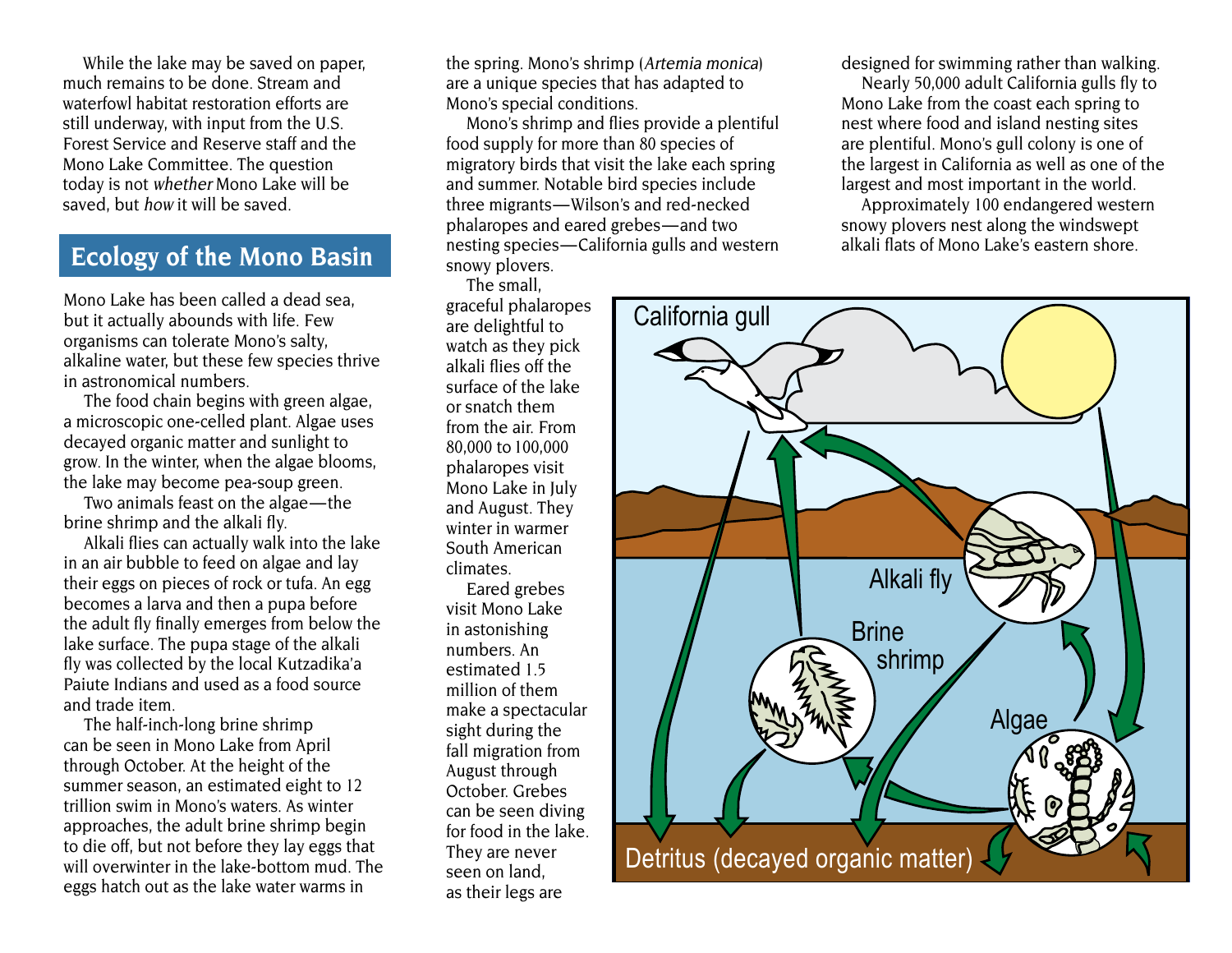While the lake may be saved on paper, much remains to be done. Stream and waterfowl habitat restoration efforts are still underway, with input from the U.S. Forest Service and Reserve staff and the Mono Lake Committee. The question today is not whether Mono Lake will be saved, but how it will be saved.

### **Ecology of the Mono Basin**

Mono Lake has been called a dead sea, but it actually abounds with life. Few organisms can tolerate Mono's salty, alkaline water, but these few species thrive in astronomical numbers.

The food chain begins with green algae, a microscopic one-celled plant. Algae uses decayed organic matter and sunlight to grow. In the winter, when the algae blooms, the lake may become pea-soup green.

 Two animals feast on the algae—the brine shrimp and the alkali fly.

Alkali flies can actually walk into the lake in an air bubble to feed on algae and lay their eggs on pieces of rock or tufa. An egg becomes a larva and then a pupa before the adult fly finally emerges from below the lake surface. The pupa stage of the alkali fly was collected by the local Kutzadika'a Paiute Indians and used as a food source and trade item.

The half-inch-long brine shrimp can be seen in Mono Lake from April through October. At the height of the summer season, an estimated eight to 12 trillion swim in Mono's waters. As winter approaches, the adult brine shrimp begin to die off, but not before they lay eggs that will overwinter in the lake-bottom mud. The eggs hatch out as the lake water warms in

the spring. Mono's shrimp (Artemia monica) are a unique species that has adapted to Mono's special conditions.

 three migrants—Wilson's and red-necked  phalaropes and eared grebes—and two  nesting species—California gulls and western Mono's shrimp and flies provide a plentiful food supply for more than 80 species of migratory birds that visit the lake each spring and summer. Notable bird species include snowy plovers.

The small,

graceful phalaropes are delightful to watch as they pick alkali flies off the surface of the lake or snatch them from the air. From 80,000 to 100,000 phalaropes visit Mono Lake in July and August. They winter in warmer South American climates.

Eared grebes visit Mono Lake in astonishing numbers. An estimated 1.5 million of them make a spectacular sight during the fall migration from August through October. Grebes can be seen diving for food in the lake. They are never seen on land, as their legs are

designed for swimming rather than walking.

Nearly 50,000 adult California gulls fly to Mono Lake from the coast each spring to nest where food and island nesting sites are plentiful. Mono's gull colony is one of the largest in California as well as one of the largest and most important in the world.

Approximately 100 endangered western snowy plovers nest along the windswept alkali flats of Mono Lake's eastern shore.

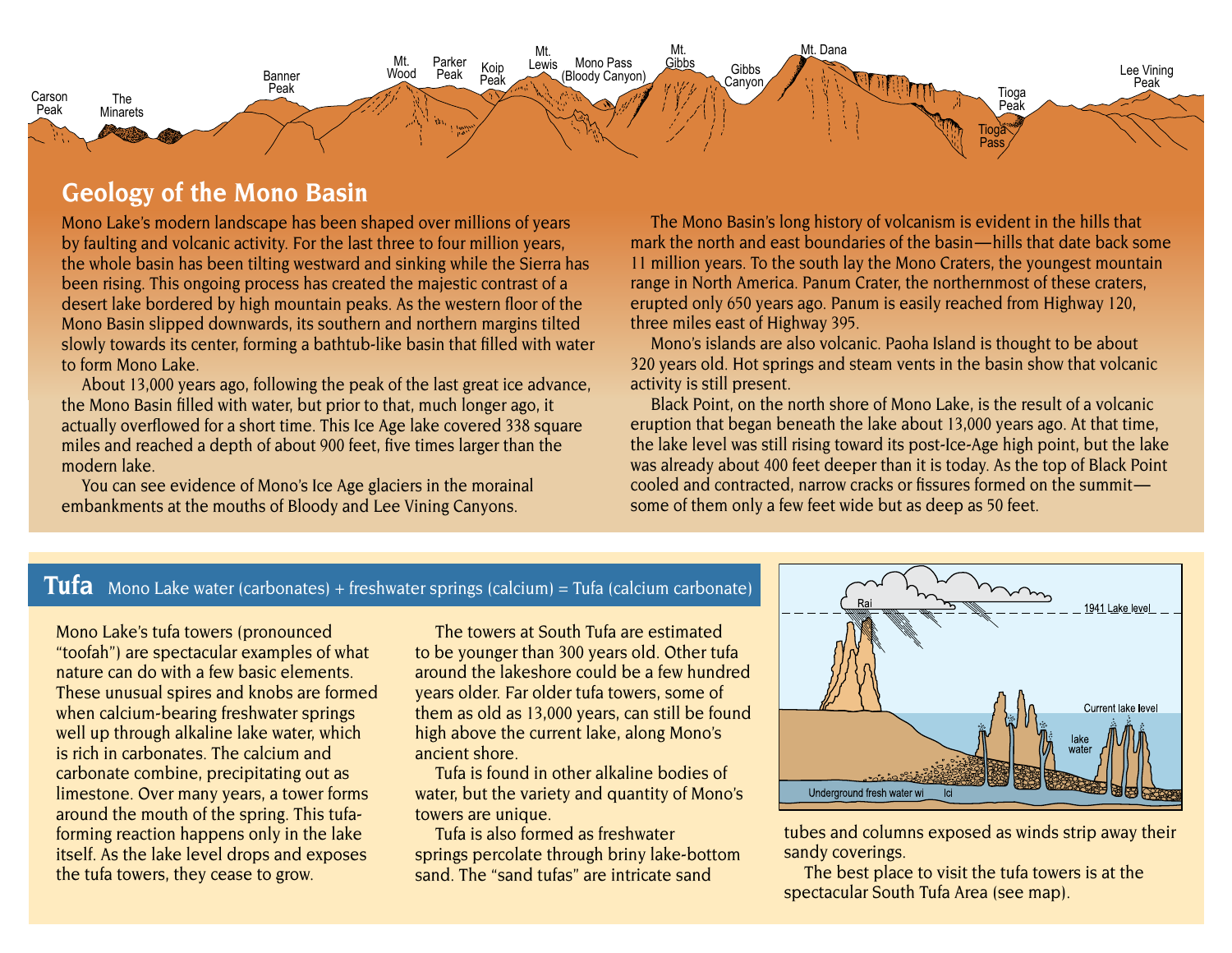

### **Geology of the Mono Basin**

Mono Lake's modern landscape has been shaped over millions of years by faulting and volcanic activity. For the last three to four million years, the whole basin has been tilting westward and sinking while the Sierra has been rising. This ongoing process has created the majestic contrast of a desert lake bordered by high mountain peaks. As the western floor of the Mono Basin slipped downwards, its southern and northern margins tilted slowly towards its center, forming a bathtub-like basin that filled with water to form Mono Lake.

About 13,000 years ago, following the peak of the last great ice advance, the Mono Basin filled with water, but prior to that, much longer ago, it actually overflowed for a short time. This Ice Age lake covered 338 square miles and reached a depth of about 900 feet, five times larger than the modern lake.

You can see evidence of Mono's Ice Age glaciers in the morainal embankments at the mouths of Bloody and Lee Vining Canyons.

The Mono Basin's long history of volcanism is evident in the hills that mark the north and east boundaries of the basin—hills that date back some 11 million years. To the south lay the Mono Craters, the youngest mountain range in North America. Panum Crater, the northernmost of these craters, erupted only 650 years ago. Panum is easily reached from Highway 120, three miles east of Highway 395.

Mono's islands are also volcanic. Paoha Island is thought to be about 320 years old. Hot springs and steam vents in the basin show that volcanic activity is still present.

Black Point, on the north shore of Mono Lake, is the result of a volcanic eruption that began beneath the lake about 13,000 years ago. At that time, the lake level was still rising toward its post-Ice-Age high point, but the lake was already about 400 feet deeper than it is today. As the top of Black Point cooled and contracted, narrow cracks or fissures formed on the summit some of them only a few feet wide but as deep as 50 feet.

#### **Tufa** Mono Lake water (carbonates) + freshwater springs (calcium) = Tufa (calcium carbonate)

Mono Lake's tufa towers (pronounced "toofah") are spectacular examples of what nature can do with a few basic elements. These unusual spires and knobs are formed when calcium-bearing freshwater springs well up through alkaline lake water, which is rich in carbonates. The calcium and carbonate combine, precipitating out as limestone. Over many years, a tower forms around the mouth of the spring. This tufaforming reaction happens only in the lake itself. As the lake level drops and exposes the tufa towers, they cease to grow.

The towers at South Tufa are estimated to be younger than 300 years old. Other tufa around the lakeshore could be a few hundred years older. Far older tufa towers, some of them as old as 13,000 years, can still be found high above the current lake, along Mono's ancient shore.

Tufa is found in other alkaline bodies of water, but the variety and quantity of Mono's towers are unique.

Tufa is also formed as freshwater springs percolate through briny lake-bottom sand. The "sand tufas" are intricate sand



tubes and columns exposed as winds strip away their sandy coverings.

The best place to visit the tufa towers is at the spectacular South Tufa Area (see map).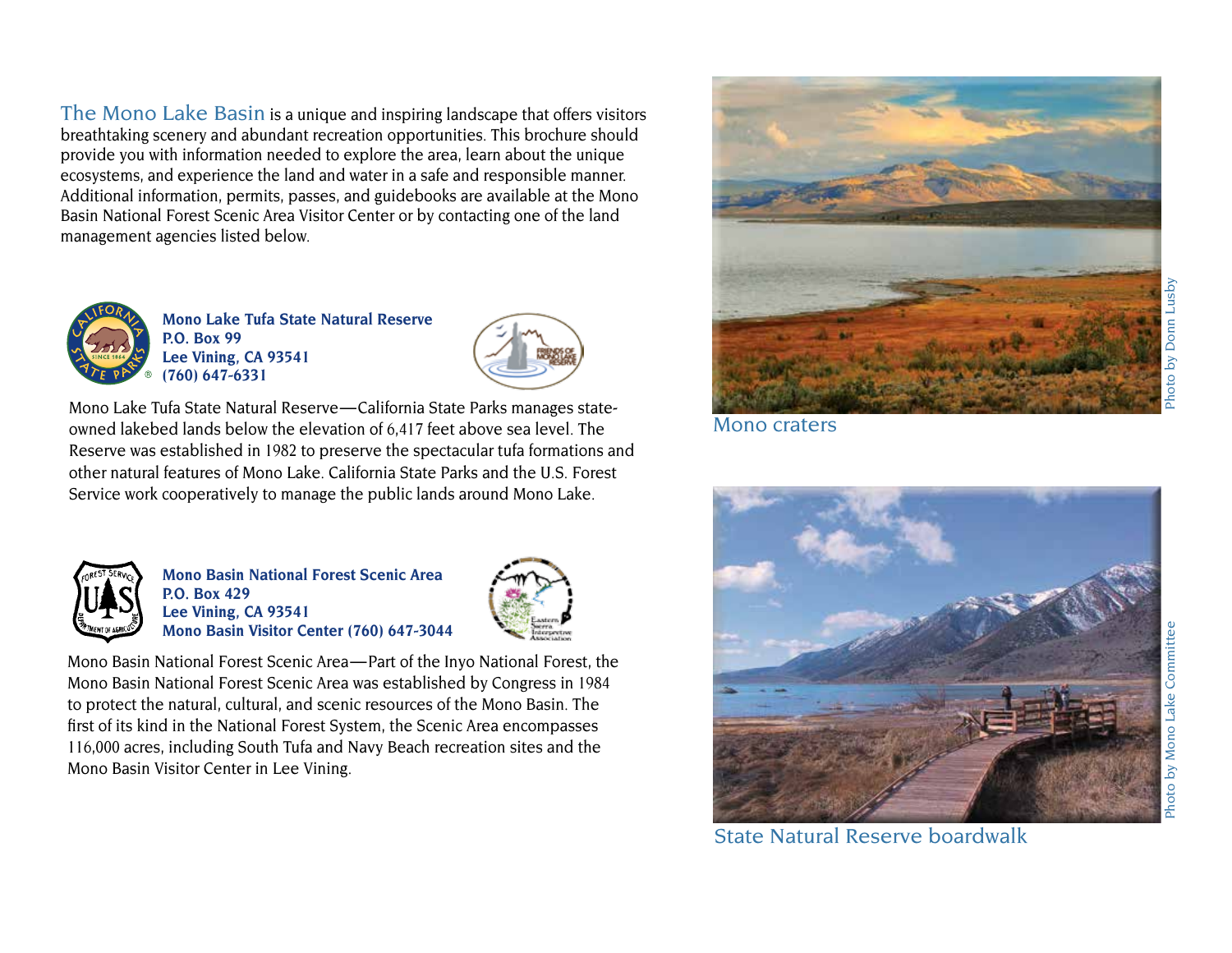The Mono Lake Basin is a unique and inspiring landscape that offers visitors breathtaking scenery and abundant recreation opportunities. This brochure should provide you with information needed to explore the area, learn about the unique ecosystems, and experience the land and water in a safe and responsible manner. Additional information, permits, passes, and guidebooks are available at the Mono Basin National Forest Scenic Area Visitor Center or by contacting one of the land management agencies listed below.



**Mono Lake Tufa State Natural Reserve P.O. Box 99 Lee Vining, CA 93541 (760) 647-6331** 



Mono Lake Tufa State Natural Reserve—California State Parks manages stateowned lakebed lands below the elevation of 6,417 feet above sea level. The Reserve was established in 1982 to preserve the spectacular tufa formations and other natural features of Mono Lake. California State Parks and the U.S. Forest Service work cooperatively to manage the public lands around Mono Lake.



**Mono Basin National Forest Scenic Area P.O. Box 429 Lee Vining, CA 93541 Mono Basin Visitor Center (760) 647-3044** 



Mono Basin National Forest Scenic Area—Part of the Inyo National Forest, the Mono Basin National Forest Scenic Area was established by Congress in 1984 to protect the natural, cultural, and scenic resources of the Mono Basin. The first of its kind in the National Forest System, the Scenic Area encompasses 116,000 acres, including South Tufa and Navy Beach recreation sites and the Mono Basin Visitor Center in Lee Vining.



Mono craters



Mono Lake Committe

hoto by

Lusby

Donn

State Natural Reserve boardwalk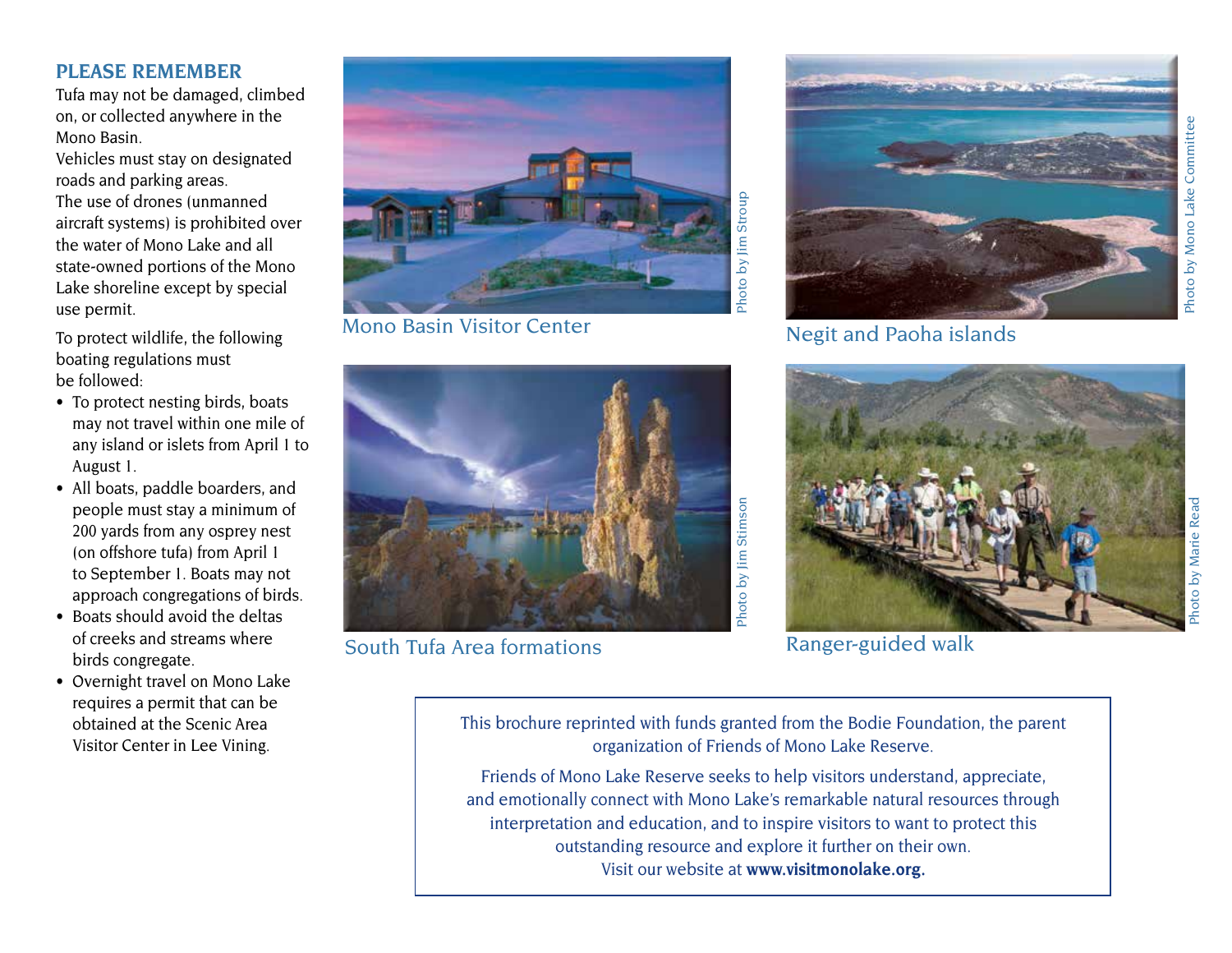#### **PLEASE REMEMBER**

Tufa may not be damaged, climbed on, or collected anywhere in the Mono Basin.

Vehicles must stay on designated roads and parking areas. The use of drones (unmanned aircraft systems) is prohibited over the water of Mono Lake and all state-owned portions of the Mono Lake shoreline except by special use permit.

To protect wildlife, the following boating regulations must be followed:

- To protect nesting birds, boats may not travel within one mile of any island or islets from April 1 to August 1.
- All boats, paddle boarders, and people must stay a minimum of 200 yards from any osprey nest (on offshore tufa) from April 1 to September 1. Boats may not approach congregations of birds.
- Boats should avoid the deltas of creeks and streams where birds congregate.
- Overnight travel on Mono Lake requires a permit that can be obtained at the Scenic Area Visitor Center in Lee Vining.



Mono Basin Visitor Center



South Tufa Area formations **Example 20** Ranger-guided walk



Negit and Paoha islands



Photo by Mono Lake Committee

This brochure reprinted with funds granted from the Bodie Foundation, the parent organization of Friends of Mono Lake Reserve.

Friends of Mono Lake Reserve seeks to help visitors understand, appreciate, and emotionally connect with Mono Lake's remarkable natural resources through interpretation and education, and to inspire visitors to want to protect this outstanding resource and explore it further on their own. Visit our website at **www.visitmonolake.org.**